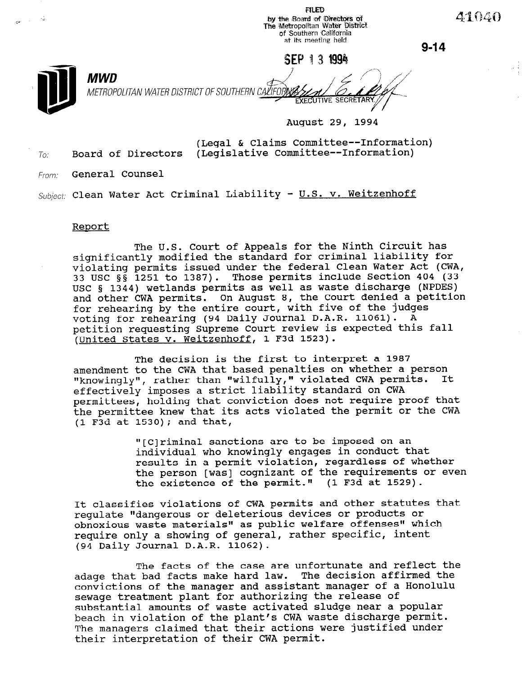**FILED** , I show the Board of Directors of The Metropolitan Water Distric of Southern Califol at its meeting held

SEP 13 1994

 $9 - 14$ 

41040



**MWD** METROPOLITAN WATER DISTRICT OF SOUTHERN CALIFOF,

August 29, 1994

(Legal & Claims Committee--Information)  $T_{0i}$  Board of Directors (Legislative Committee--Information)

From: General Counsel

Subject: Clean Water Act Criminal Liability -  $U.S.$  v. Weitzenhoff

## Report

The U.S. Court of Appeals for the Ninth Circuit has significantly modified the standard for criminal liability for violating permits issued under the federal Clean Water Act (CWA, 33 USC  $\S$  $\overline{\S}$  1251 to 1387). Those permits include Section 404 (33 USC 5 1344) wetlands permits as well as waste discharge (NPDES) and other CWA permits. On August 8, the Court denied a petition for rehearing by the entire court, with five of the judges voting for rehearing (94 Daily Journal D.A.R. 11061). A petition requesting Supreme Court review is expected this fall (United States v. Weitzenhoff, 1 F3d 1523).

The decision is the first to interpret a 1987 amendment to the CWA that based penalties on whether a person "knowingly", rather than "wilfully," violated CWA permits. It effectively imposes a strict liability standard on CWA permittees, holding that conviction does not require proof that the permittee knew that its acts violated the permit or the CWA (1 F3d at 1530); and that,

> "[C]riminal sanctions are to be imposed on an individual who knowingly engages in conduct that results in a permit violation, regardless of whether the person [was] cognizant of the requirements or even the existence of the permit." (1 F3d at 1529).

It classifies violations of CWA permits and other statutes that regulate "dangerous or deleterious devices or products or obnoxious waste materials" as public welfare offenses" which require only a showing of general, rather specific, intent (94 Daily Journal D.A.R. 11062).

The facts of the case are unfortunate and reflect the adage that bad facts make hard law. The decision affirmed the convictions of the manager and assistant manager of a Honolulu convictions of the manager and assistant manager of a sewage creatment plant for authorizing the refease of beach in violation of the plant's CWA waste discharge permit. Deach in violation of the plant's twa waste discharge permit The managers claimed that their actions were justified under<br>their interpretation of their CWA permit.